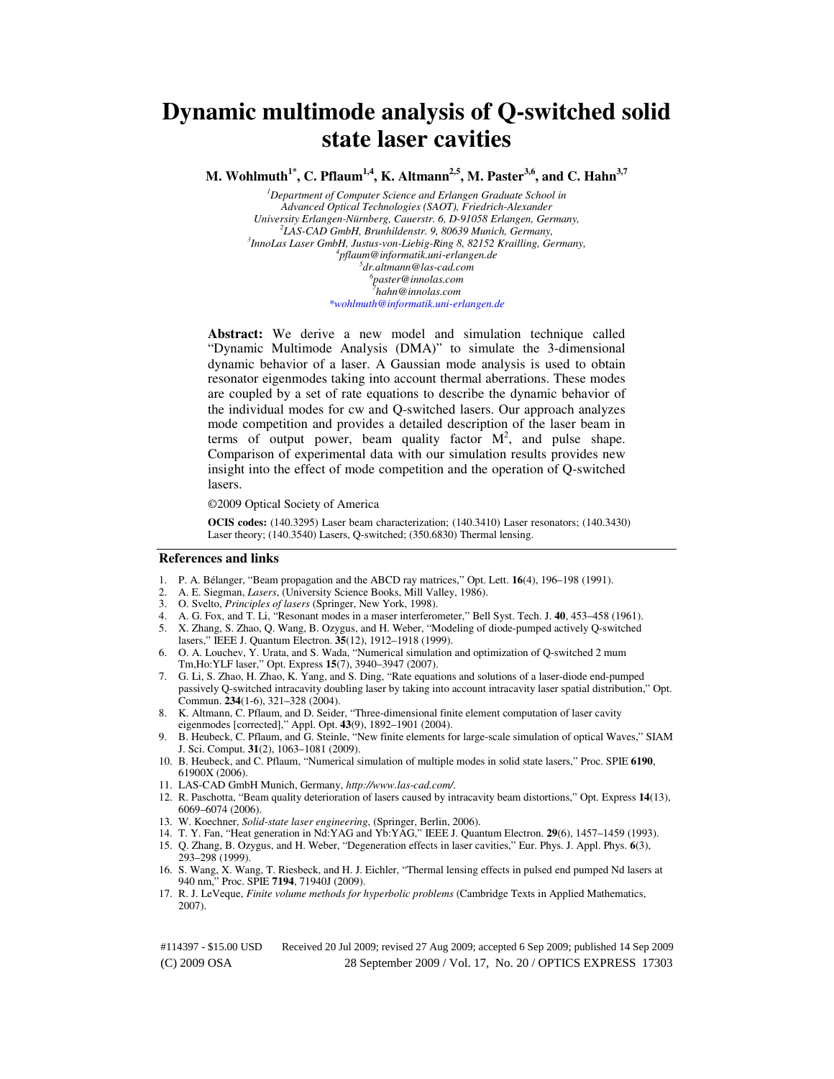# **Dynamic multimode analysis of Q-switched solid state laser cavities**

**M. Wohlmuth1\*, C. Pflaum1,4, K. Altmann2,5, M. Paster3,6, and C. Hahn3,7**

*Department of Computer Science and Erlangen Graduate School in Advanced Optical Technologies (SAOT), Friedrich-Alexander University Erlangen-Nürnberg, Cauerstr. 6, D-91058 Erlangen, Germany, LAS-CAD GmbH, Brunhildenstr. 9, 80639 Munich, Germany, InnoLas Laser GmbH, Justus-von-Liebig-Ring 8, 82152 Krailling, Germany, pflaum@informatik.uni-erlangen.de dr.altmann@las-cad.com paster@innolas.com hahn@innolas.com \*wohlmuth@informatik.uni-erlangen.de* 

**Abstract:** We derive a new model and simulation technique called "Dynamic Multimode Analysis (DMA)" to simulate the 3-dimensional dynamic behavior of a laser. A Gaussian mode analysis is used to obtain resonator eigenmodes taking into account thermal aberrations. These modes are coupled by a set of rate equations to describe the dynamic behavior of the individual modes for cw and Q-switched lasers. Our approach analyzes mode competition and provides a detailed description of the laser beam in terms of output power, beam quality factor  $M^2$ , and pulse shape. Comparison of experimental data with our simulation results provides new insight into the effect of mode competition and the operation of Q-switched lasers.

©2009 Optical Society of America

**OCIS codes:** (140.3295) Laser beam characterization; (140.3410) Laser resonators; (140.3430) Laser theory; (140.3540) Lasers, Q-switched; (350.6830) Thermal lensing.

#### **References and links**

- 1. P. A. Bélanger, "Beam propagation and the ABCD ray matrices," Opt. Lett. **16**(4), 196–198 (1991).
- 2. A. E. Siegman, *Lasers*, (University Science Books, Mill Valley, 1986).
- 3. O. Svelto, *Principles of lasers* (Springer, New York, 1998).
- 4. A. G. Fox, and T. Li, "Resonant modes in a maser interferometer," Bell Syst. Tech. J. **40**, 453–458 (1961).
- 5. X. Zhang, S. Zhao, Q. Wang, B. Ozygus, and H. Weber, "Modeling of diode-pumped actively Q-switched lasers," IEEE J. Quantum Electron. **35**(12), 1912–1918 (1999).
- 6. O. A. Louchev, Y. Urata, and S. Wada, "Numerical simulation and optimization of Q-switched 2 mum Tm,Ho:YLF laser," Opt. Express **15**(7), 3940–3947 (2007).
- 7. G. Li, S. Zhao, H. Zhao, K. Yang, and S. Ding, "Rate equations and solutions of a laser-diode end-pumped passively Q-switched intracavity doubling laser by taking into account intracavity laser spatial distribution," Opt. Commun. **234**(1-6), 321–328 (2004).
- 8. K. Altmann, C. Pflaum, and D. Seider, "Three-dimensional finite element computation of laser cavity eigenmodes [corrected]," Appl. Opt. **43**(9), 1892–1901 (2004).
- 9. B. Heubeck, C. Pflaum, and G. Steinle, "New finite elements for large-scale simulation of optical Waves," SIAM J. Sci. Comput. **31**(2), 1063–1081 (2009).
- 10. B. Heubeck, and C. Pflaum, "Numerical simulation of multiple modes in solid state lasers," Proc. SPIE **6190**, 61900X (2006).
- 11. LAS-CAD GmbH Munich, Germany, *http://www.las-cad.com/*.
- 12. R. Paschotta, "Beam quality deterioration of lasers caused by intracavity beam distortions," Opt. Express **14**(13), 6069–6074 (2006).
- 13. W. Koechner, *Solid-state laser engineering*, (Springer, Berlin, 2006).
- 14. T. Y. Fan, "Heat generation in Nd:YAG and Yb:YAG," IEEE J. Quantum Electron. **29**(6), 1457–1459 (1993).
- 15. Q. Zhang, B. Ozygus, and H. Weber, "Degeneration effects in laser cavities," Eur. Phys. J. Appl. Phys. **6**(3), 293–298 (1999).
- 16. S. Wang, X. Wang, T. Riesbeck, and H. J. Eichler, "Thermal lensing effects in pulsed end pumped Nd lasers at 940 nm," Proc. SPIE **7194**, 71940J (2009).
- 17. R. J. LeVeque, *Finite volume methods for hyperbolic problems* (Cambridge Texts in Applied Mathematics, 2007).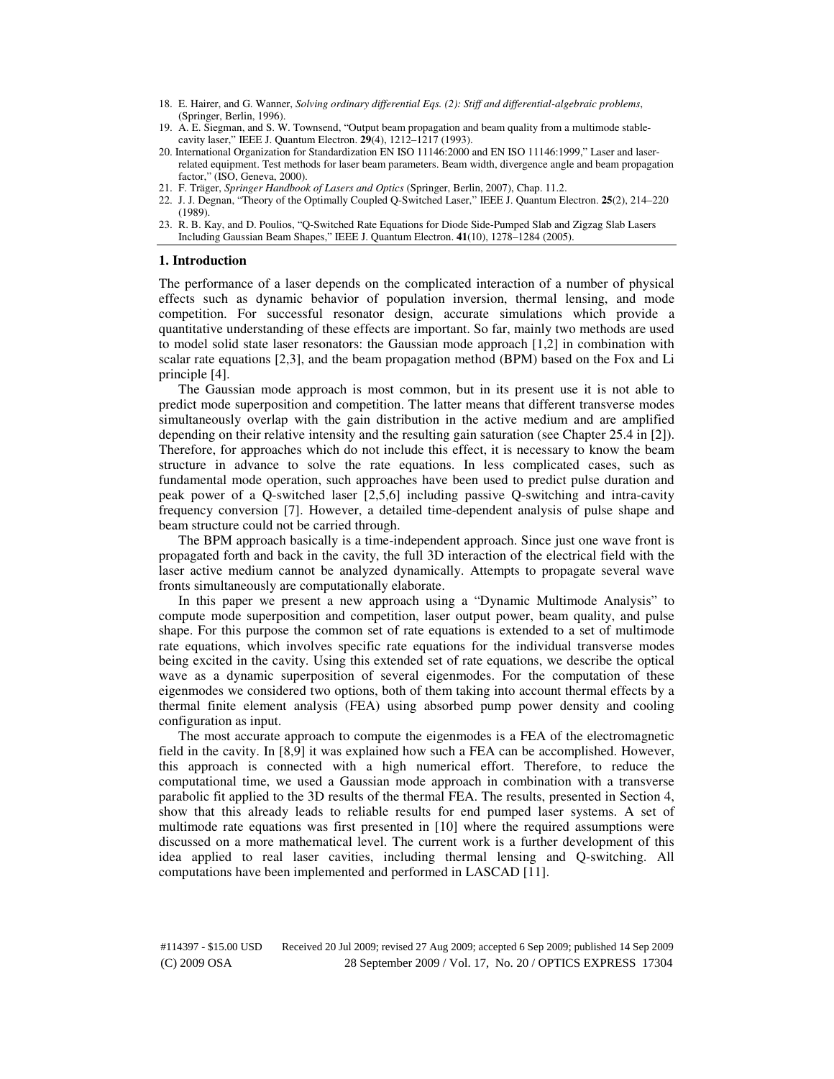- 18. E. Hairer, and G. Wanner, *Solving ordinary differential Eqs. (2): Stiff and differential-algebraic problems*, (Springer, Berlin, 1996).
- 19. A. E. Siegman, and S. W. Townsend, "Output beam propagation and beam quality from a multimode stablecavity laser," IEEE J. Quantum Electron. **29**(4), 1212–1217 (1993).
- 20. International Organization for Standardization EN ISO 11146:2000 and EN ISO 11146:1999," Laser and laserrelated equipment. Test methods for laser beam parameters. Beam width, divergence angle and beam propagation factor," (ISO, Geneva, 2000).
- 21. F. Träger, *Springer Handbook of Lasers and Optics* (Springer, Berlin, 2007), Chap. 11.2.
- 22. J. J. Degnan, "Theory of the Optimally Coupled Q-Switched Laser," IEEE J. Quantum Electron. **25**(2), 214–220 (1989).
- 23. R. B. Kay, and D. Poulios, "Q-Switched Rate Equations for Diode Side-Pumped Slab and Zigzag Slab Lasers Including Gaussian Beam Shapes," IEEE J. Quantum Electron. **41**(10), 1278–1284 (2005).

#### **1. Introduction**

The performance of a laser depends on the complicated interaction of a number of physical effects such as dynamic behavior of population inversion, thermal lensing, and mode competition. For successful resonator design, accurate simulations which provide a quantitative understanding of these effects are important. So far, mainly two methods are used to model solid state laser resonators: the Gaussian mode approach [1,2] in combination with scalar rate equations [2,3], and the beam propagation method (BPM) based on the Fox and Li principle [4].

The Gaussian mode approach is most common, but in its present use it is not able to predict mode superposition and competition. The latter means that different transverse modes simultaneously overlap with the gain distribution in the active medium and are amplified depending on their relative intensity and the resulting gain saturation (see Chapter 25.4 in [2]). Therefore, for approaches which do not include this effect, it is necessary to know the beam structure in advance to solve the rate equations. In less complicated cases, such as fundamental mode operation, such approaches have been used to predict pulse duration and peak power of a Q-switched laser [2,5,6] including passive Q-switching and intra-cavity frequency conversion [7]. However, a detailed time-dependent analysis of pulse shape and beam structure could not be carried through.

The BPM approach basically is a time-independent approach. Since just one wave front is propagated forth and back in the cavity, the full 3D interaction of the electrical field with the laser active medium cannot be analyzed dynamically. Attempts to propagate several wave fronts simultaneously are computationally elaborate.

In this paper we present a new approach using a "Dynamic Multimode Analysis" to compute mode superposition and competition, laser output power, beam quality, and pulse shape. For this purpose the common set of rate equations is extended to a set of multimode rate equations, which involves specific rate equations for the individual transverse modes being excited in the cavity. Using this extended set of rate equations, we describe the optical wave as a dynamic superposition of several eigenmodes. For the computation of these eigenmodes we considered two options, both of them taking into account thermal effects by a thermal finite element analysis (FEA) using absorbed pump power density and cooling configuration as input.

The most accurate approach to compute the eigenmodes is a FEA of the electromagnetic field in the cavity. In [8,9] it was explained how such a FEA can be accomplished. However, this approach is connected with a high numerical effort. Therefore, to reduce the computational time, we used a Gaussian mode approach in combination with a transverse parabolic fit applied to the 3D results of the thermal FEA. The results, presented in Section 4, show that this already leads to reliable results for end pumped laser systems. A set of multimode rate equations was first presented in [10] where the required assumptions were discussed on a more mathematical level. The current work is a further development of this idea applied to real laser cavities, including thermal lensing and Q-switching. All computations have been implemented and performed in LASCAD [11].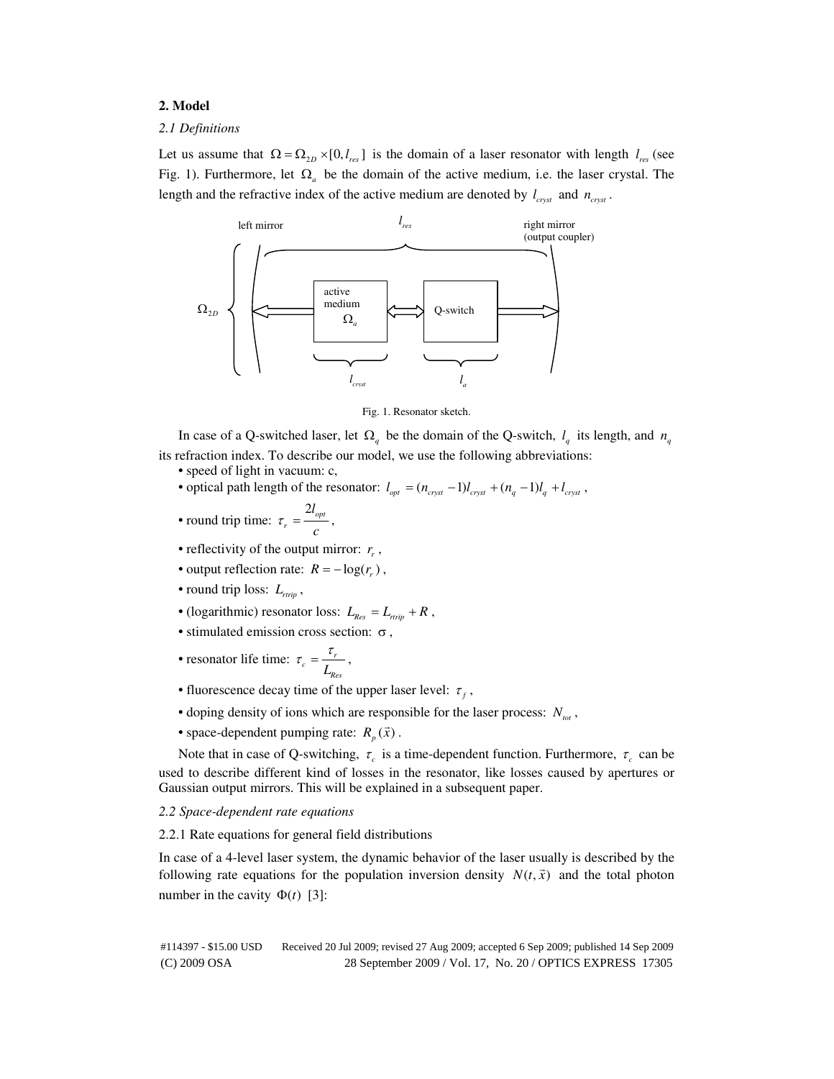## **2. Model**

## *2.1 Definitions*

Let us assume that  $\Omega = \Omega_{2D} \times [0, l_{res}]$  is the domain of a laser resonator with length  $l_{res}$  (see Fig. 1). Furthermore, let  $\Omega_a$  be the domain of the active medium, i.e. the laser crystal. The length and the refractive index of the active medium are denoted by  $l_{cryst}$  and  $n_{cryst}$ .



Fig. 1. Resonator sketch.

In case of a Q-switched laser, let  $\Omega_q$  be the domain of the Q-switch,  $l_q$  its length, and  $n_q$ its refraction index. To describe our model, we use the following abbreviations:

- speed of light in vacuum: c,
- optical path length of the resonator:  $l_{opt} = (n_{cryst} 1)l_{cryst} + (n_q 1)l_q + l_{cryst}$
- round trip time:  $\tau_r = \frac{2l_{opt}}{r}$ *r l*  $\tau_r = \frac{-\omega_{pt}}{c}$ ,
- reflectivity of the output mirror:  $r_r$ ,
- output reflection rate:  $R = -\log(r_r)$ ,
- round trip loss:  $L_{\text{trip}}$ ,
- (logarithmic) resonator loss:  $L_{Res} = L_{trip} + R$ ,
- stimulated emission cross section:  $\sigma$ ,

• resonator life time: 
$$
\tau_c = \frac{\tau_r}{L_{Res}}
$$
,

- fluorescence decay time of the upper laser level:  $\tau_f$ ,
- doping density of ions which are responsible for the laser process:  $N_{tot}$ ,
- space-dependent pumping rate:  $R_p(\vec{x})$ .

Note that in case of Q-switching,  $\tau_c$  is a time-dependent function. Furthermore,  $\tau_c$  can be used to describe different kind of losses in the resonator, like losses caused by apertures or Gaussian output mirrors. This will be explained in a subsequent paper.

*2.2 Space-dependent rate equations* 

## 2.2.1 Rate equations for general field distributions

In case of a 4-level laser system, the dynamic behavior of the laser usually is described by the following rate equations for the population inversion density  $N(t, \vec{x})$  and the total photon number in the cavity  $\Phi(t)$  [3]: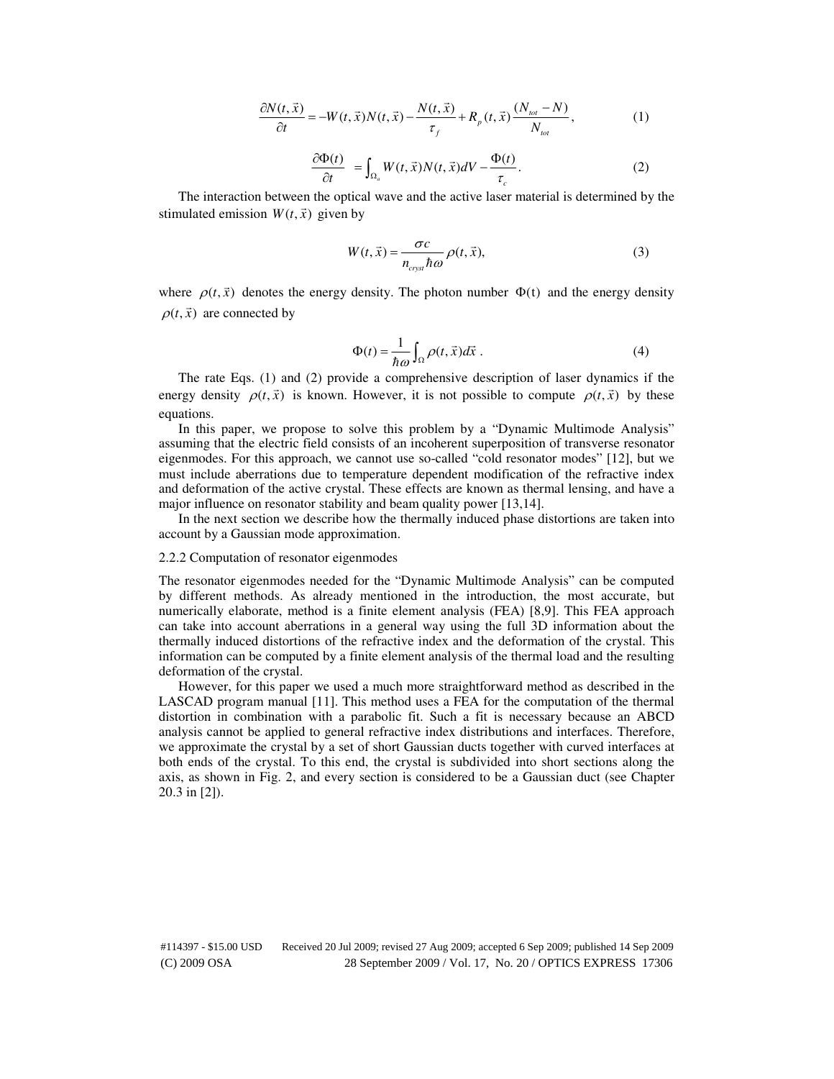$$
\frac{\partial N(t,\vec{x})}{\partial t} = -W(t,\vec{x})N(t,\vec{x}) - \frac{N(t,\vec{x})}{\tau_f} + R_p(t,\vec{x})\frac{(N_{tot} - N)}{N_{tot}},\tag{1}
$$

$$
\frac{\partial \Phi(t)}{\partial t} = \int_{\Omega_a} W(t, \vec{x}) N(t, \vec{x}) dV - \frac{\Phi(t)}{\tau_c}.
$$
 (2)

The interaction between the optical wave and the active laser material is determined by the The interaction between the optical<br>stimulated emission  $W(t, \vec{x})$  given by

$$
W(t, \vec{x}) = \frac{\sigma c}{n_{\text{crys}} \hbar \omega} \rho(t, \vec{x}),
$$
\n(3)

where  $\rho(t, \vec{x})$  denotes the energy density. The photon number  $\Phi(t)$  and the energy density  $\rho(t, \vec{x})$  are connected by

$$
\Phi(t) = \frac{1}{\hbar \omega} \int_{\Omega} \rho(t, \vec{x}) d\vec{x} . \tag{4}
$$

The rate Eqs. (1) and (2) provide a comprehensive description of laser dynamics if the energy density  $\rho(t, \vec{x})$  is known. However, it is not possible to compute  $\rho(t, \vec{x})$  by these equations.

In this paper, we propose to solve this problem by a "Dynamic Multimode Analysis" assuming that the electric field consists of an incoherent superposition of transverse resonator eigenmodes. For this approach, we cannot use so-called "cold resonator modes" [12], but we must include aberrations due to temperature dependent modification of the refractive index and deformation of the active crystal. These effects are known as thermal lensing, and have a major influence on resonator stability and beam quality power [13,14].

In the next section we describe how the thermally induced phase distortions are taken into account by a Gaussian mode approximation.

#### 2.2.2 Computation of resonator eigenmodes

The resonator eigenmodes needed for the "Dynamic Multimode Analysis" can be computed by different methods. As already mentioned in the introduction, the most accurate, but numerically elaborate, method is a finite element analysis (FEA) [8,9]. This FEA approach can take into account aberrations in a general way using the full 3D information about the thermally induced distortions of the refractive index and the deformation of the crystal. This information can be computed by a finite element analysis of the thermal load and the resulting deformation of the crystal.

However, for this paper we used a much more straightforward method as described in the LASCAD program manual [11]. This method uses a FEA for the computation of the thermal distortion in combination with a parabolic fit. Such a fit is necessary because an ABCD analysis cannot be applied to general refractive index distributions and interfaces. Therefore, we approximate the crystal by a set of short Gaussian ducts together with curved interfaces at both ends of the crystal. To this end, the crystal is subdivided into short sections along the axis, as shown in Fig. 2, and every section is considered to be a Gaussian duct (see Chapter 20.3 in [2]).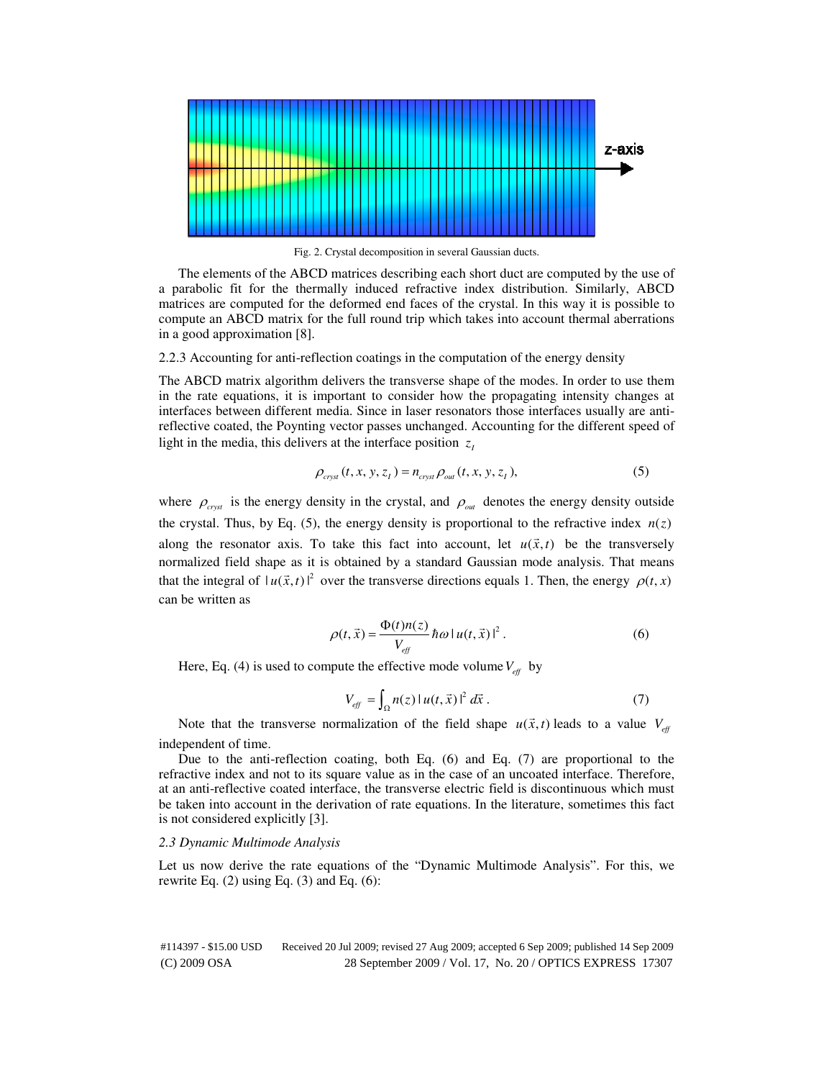

Fig. 2. Crystal decomposition in several Gaussian ducts.

The elements of the ABCD matrices describing each short duct are computed by the use of a parabolic fit for the thermally induced refractive index distribution. Similarly, ABCD matrices are computed for the deformed end faces of the crystal. In this way it is possible to compute an ABCD matrix for the full round trip which takes into account thermal aberrations in a good approximation [8].

2.2.3 Accounting for anti-reflection coatings in the computation of the energy density

The ABCD matrix algorithm delivers the transverse shape of the modes. In order to use them in the rate equations, it is important to consider how the propagating intensity changes at interfaces between different media. Since in laser resonators those interfaces usually are antireflective coated, the Poynting vector passes unchanged. Accounting for the different speed of light in the media, this delivers at the interface position  $z<sub>i</sub>$ 

$$
\rho_{\text{cryst}}(t, x, y, z_1) = n_{\text{cryst}} \rho_{\text{out}}(t, x, y, z_1),
$$
\n(5)

where  $\rho_{crxt}$  is the energy density in the crystal, and  $\rho_{out}$  denotes the energy density outside the crystal. Thus, by Eq. (5), the energy density is proportional to the refractive index  $n(z)$ along the resonator axis. To take this fact into account, let  $u(\vec{x},t)$  be the transversely normalized field shape as it is obtained by a standard Gaussian mode analysis. That means that the integral of  $|u(\vec{x}, t)|^2$  over the transverse directions equals 1. Then, the energy  $\rho(t, x)$ can be written as

$$
\rho(t,\vec{x}) = \frac{\Phi(t)n(z)}{V_{\text{eff}}} \hbar \omega |u(t,\vec{x})|^2. \tag{6}
$$

Here, Eq. (4) is used to compute the effective mode volume  $V_{\text{eff}}$  by

$$
V_{\text{eff}} = \int_{\Omega} n(z) |u(t, \vec{x})|^2 d\vec{x} . \tag{7}
$$

Note that the transverse normalization of the field shape  $u(\vec{x}, t)$  leads to a value  $V_{ef}$ independent of time.

Due to the anti-reflection coating, both Eq. (6) and Eq. (7) are proportional to the refractive index and not to its square value as in the case of an uncoated interface. Therefore, at an anti-reflective coated interface, the transverse electric field is discontinuous which must be taken into account in the derivation of rate equations. In the literature, sometimes this fact is not considered explicitly [3].

#### *2.3 Dynamic Multimode Analysis*

Let us now derive the rate equations of the "Dynamic Multimode Analysis". For this, we rewrite Eq.  $(2)$  using Eq.  $(3)$  and Eq.  $(6)$ :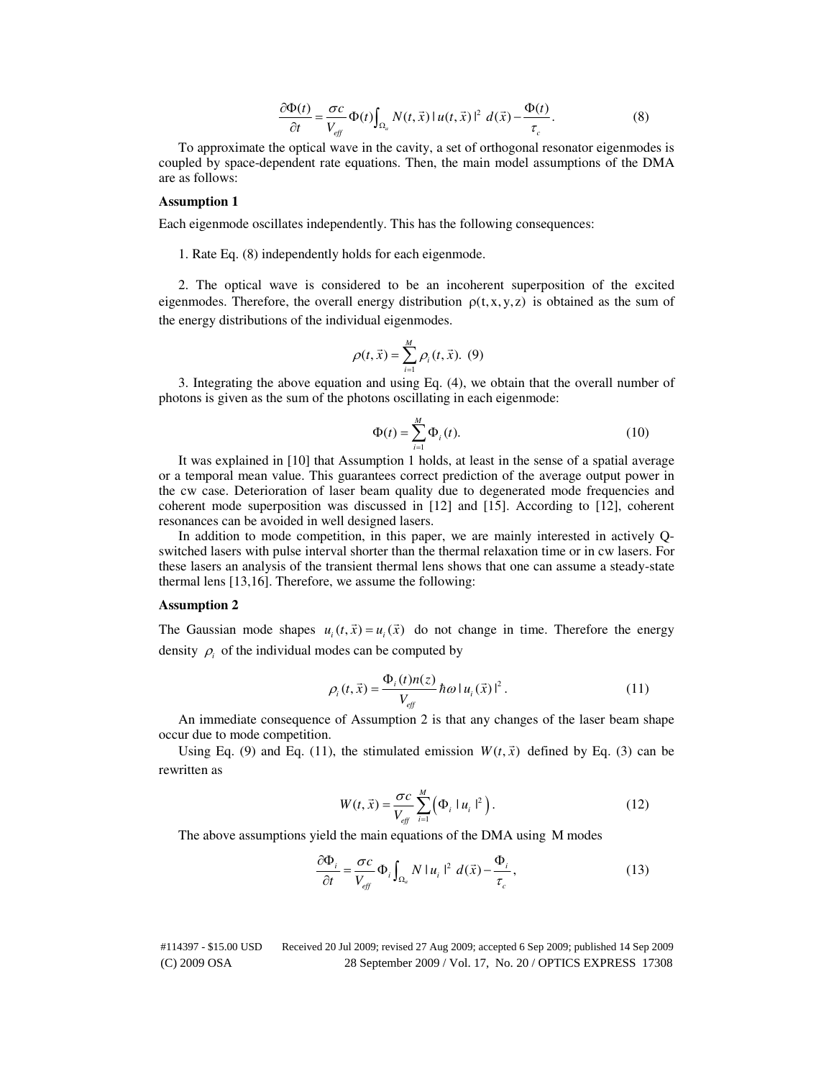$$
\frac{\partial \Phi(t)}{\partial t} = \frac{\sigma c}{V_{\text{eff}}} \Phi(t) \int_{\Omega_a} N(t, \vec{x}) |u(t, \vec{x})|^2 d(\vec{x}) - \frac{\Phi(t)}{\tau_c}.
$$
 (8)

To approximate the optical wave in the cavity, a set of orthogonal resonator eigenmodes is coupled by space-dependent rate equations. Then, the main model assumptions of the DMA are as follows:

#### **Assumption 1**

Each eigenmode oscillates independently. This has the following consequences:

1. Rate Eq. (8) independently holds for each eigenmode.

2. The optical wave is considered to be an incoherent superposition of the excited eigenmodes. Therefore, the overall energy distribution  $p(t, x, y, z)$  is obtained as the sum of the energy distributions of the individual eigenmodes.

$$
\rho(t, \vec{x}) = \sum_{i=1}^{M} \rho_i(t, \vec{x}). \tag{9}
$$

3. Integrating the above equation and using Eq. (4), we obtain that the overall number of photons is given as the sum of the photons oscillating in each eigenmode:

$$
\Phi(t) = \sum_{i=1}^{M} \Phi_i(t). \tag{10}
$$

It was explained in [10] that Assumption 1 holds, at least in the sense of a spatial average or a temporal mean value. This guarantees correct prediction of the average output power in the cw case. Deterioration of laser beam quality due to degenerated mode frequencies and coherent mode superposition was discussed in [12] and [15]. According to [12], coherent resonances can be avoided in well designed lasers.

In addition to mode competition, in this paper, we are mainly interested in actively Qswitched lasers with pulse interval shorter than the thermal relaxation time or in cw lasers. For these lasers an analysis of the transient thermal lens shows that one can assume a steady-state thermal lens [13,16]. Therefore, we assume the following:

#### **Assumption 2**

The Gaussian mode shapes  $u_i(t, \vec{x}) = u_i(\vec{x})$  do not change in time. Therefore the energy density  $\rho_i$  of the individual modes can be computed by

$$
\rho_i(t,\vec{x}) = \frac{\Phi_i(t)n(z)}{V_{\text{eff}}} \hbar \omega \, |u_i(\vec{x})|^2. \tag{11}
$$

An immediate consequence of Assumption 2 is that any changes of the laser beam shape occur due to mode competition.

Using Eq. (9) and Eq. (11), the stimulated emission  $W(t, \vec{x})$  defined by Eq. (3) can be rewritten as

$$
W(t, \vec{x}) = \frac{\sigma c}{V_{\text{eff}}} \sum_{i=1}^{M} (\Phi_i |u_i|^2).
$$
 (12)

The above assumptions yield the main equations of the DMA using M modes

$$
\frac{\partial \Phi_i}{\partial t} = \frac{\sigma c}{V_{\text{eff}}} \Phi_i \int_{\Omega_a} N |u_i|^2 d(\vec{x}) - \frac{\Phi_i}{\tau_c},
$$
\n(13)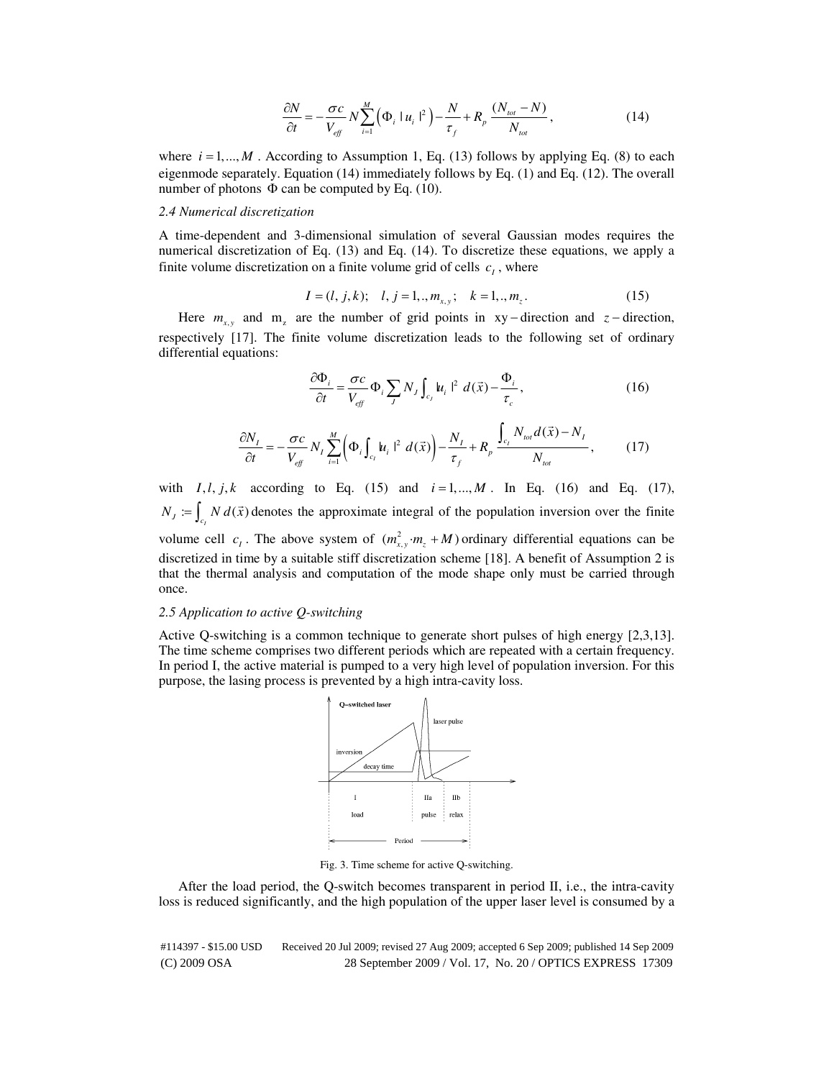$$
\frac{\partial N}{\partial t} = -\frac{\sigma c}{V_{\text{eff}}} N \sum_{i=1}^{M} \left( \Phi_i \mid u_i \mid^2 \right) - \frac{N}{\tau_f} + R_p \frac{(N_{\text{tot}} - N)}{N_{\text{tot}}},\tag{14}
$$

where  $i = 1, ..., M$ . According to Assumption 1, Eq. (13) follows by applying Eq. (8) to each eigenmode separately. Equation (14) immediately follows by Eq. (1) and Eq. (12). The overall number of photons  $\Phi$  can be computed by Eq. (10).

### *2.4 Numerical discretization*

A time-dependent and 3-dimensional simulation of several Gaussian modes requires the numerical discretization of Eq. (13) and Eq. (14). To discretize these equations, we apply a finite volume discretization on a finite volume grid of cells  $c<sub>i</sub>$ , where

$$
I = (l, j, k); \quad l, j = 1, \dots, m_{x,y}; \quad k = 1, \dots, m_z.
$$
 (15)

Here  $m_{x,y}$  and  $m_z$  are the number of grid points in xy − direction and *z* − direction, respectively [17]. The finite volume discretization leads to the following set of ordinary differential equations:

$$
\frac{\partial \Phi_i}{\partial t} = \frac{\sigma c}{V_{\text{eff}}} \Phi_i \sum_j N_j \int_{c_j} u_i \vert^2 d(\vec{x}) - \frac{\Phi_i}{\tau_c}, \qquad (16)
$$

$$
\frac{\partial N_I}{\partial t} = -\frac{\sigma c}{V_{\text{eff}}} N_I \sum_{i=1}^M \left( \Phi_i \int_{c_I} \left| u_i \right|^2 \, d(\vec{x}) \right) - \frac{N_I}{\tau_f} + R_p \frac{\int_{c_I} N_{\text{tot}} d(\vec{x}) - N_I}{N_{\text{tot}}},\tag{17}
$$

with  $I, l, j, k$  according to Eq. (15) and  $i = 1, ..., M$ . In Eq. (16) and Eq. (17),  $N_j := \int_{c_i} N d(\vec{x})$  denotes the approximate integral of the population inversion over the finite volume cell  $c_i$ . The above system of  $(m_{x,y}^2 \cdot m_z + M)$  ordinary differential equations can be discretized in time by a suitable stiff discretization scheme [18]. A benefit of Assumption 2 is that the thermal analysis and computation of the mode shape only must be carried through once.

## *2.5 Application to active Q-switching*

Active Q-switching is a common technique to generate short pulses of high energy [2,3,13]. The time scheme comprises two different periods which are repeated with a certain frequency. In period I, the active material is pumped to a very high level of population inversion. For this purpose, the lasing process is prevented by a high intra-cavity loss.



Fig. 3. Time scheme for active Q-switching.

After the load period, the Q-switch becomes transparent in period II, i.e., the intra-cavity loss is reduced significantly, and the high population of the upper laser level is consumed by a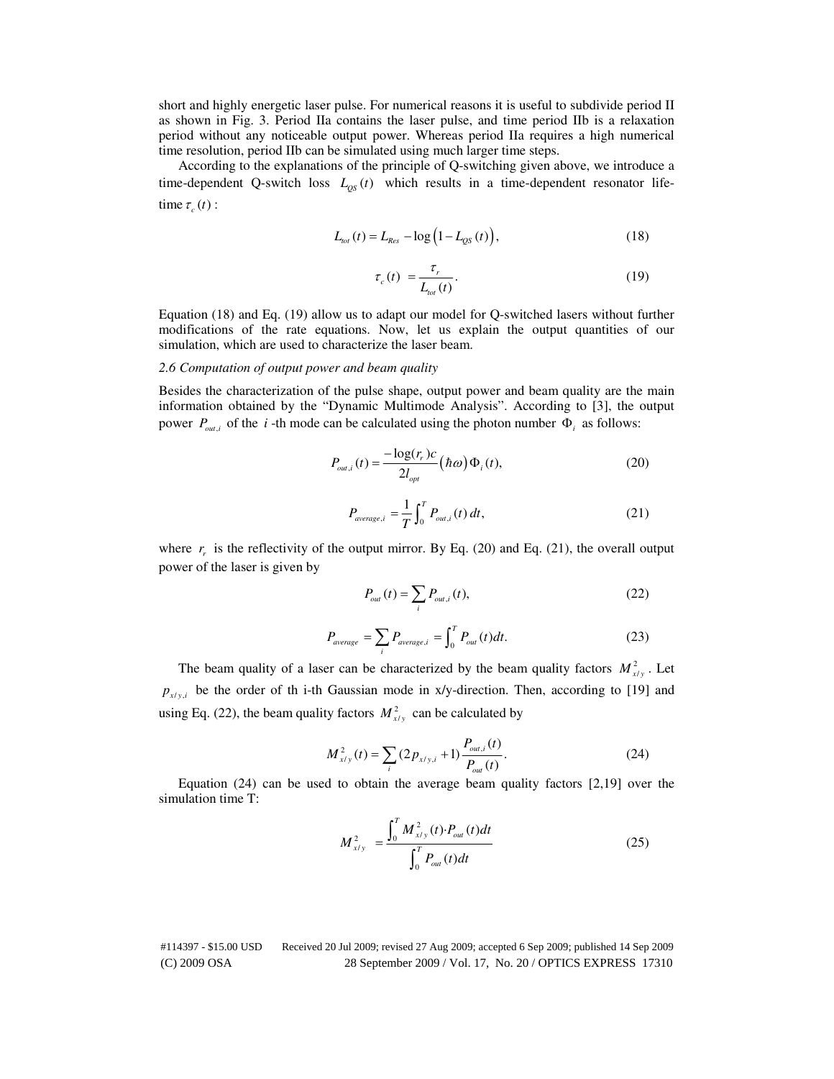short and highly energetic laser pulse. For numerical reasons it is useful to subdivide period II as shown in Fig. 3. Period IIa contains the laser pulse, and time period IIb is a relaxation period without any noticeable output power. Whereas period IIa requires a high numerical time resolution, period IIb can be simulated using much larger time steps.

According to the explanations of the principle of Q-switching given above, we introduce a time-dependent Q-switch loss  $L_{OS}(t)$  which results in a time-dependent resonator lifetime  $\tau_c(t)$  :

$$
L_{tot}(t) = L_{Res} - \log(1 - L_{QS}(t)),
$$
\n(18)

$$
\tau_c(t) = \frac{\tau_r}{L_{tot}(t)}.
$$
\n(19)

Equation (18) and Eq. (19) allow us to adapt our model for Q-switched lasers without further modifications of the rate equations. Now, let us explain the output quantities of our simulation, which are used to characterize the laser beam.

## *2.6 Computation of output power and beam quality*

Besides the characterization of the pulse shape, output power and beam quality are the main information obtained by the "Dynamic Multimode Analysis". According to [3], the output power  $P_{out,i}$  of the *i*-th mode can be calculated using the photon number  $\Phi_i$  as follows:

$$
P_{out,i}(t) = \frac{-\log(r_i)c}{2l_{opt}}(\hbar\omega)\Phi_i(t),
$$
\n(20)

$$
P_{average,i} = \frac{1}{T} \int_{0}^{T} P_{out,i}(t) \, dt,\tag{21}
$$

where  $r_r$  is the reflectivity of the output mirror. By Eq. (20) and Eq. (21), the overall output power of the laser is given by

$$
P_{out}(t) = \sum_{i} P_{out,i}(t),
$$
 (22)

$$
P_{average} = \sum_{i} P_{average,i} = \int_{0}^{T} P_{out}(t)dt.
$$
 (23)

The beam quality of a laser can be characterized by the beam quality factors  $M_{x/y}^2$ . Let  $p_{x/y,i}$  be the order of th i-th Gaussian mode in x/y-direction. Then, according to [19] and using Eq. (22), the beam quality factors  $M_{x/y}^2$  can be calculated by

$$
M_{x/y}^{2}(t) = \sum_{i} (2p_{x/y,i} + 1) \frac{P_{out,i}(t)}{P_{out}(t)}.
$$
 (24)

Equation (24) can be used to obtain the average beam quality factors [2,19] over the simulation time T:

$$
M_{x/y}^2 = \frac{\int_0^T M_{x/y}^2(t) \cdot P_{out}(t) dt}{\int_0^T P_{out}(t) dt}
$$
 (25)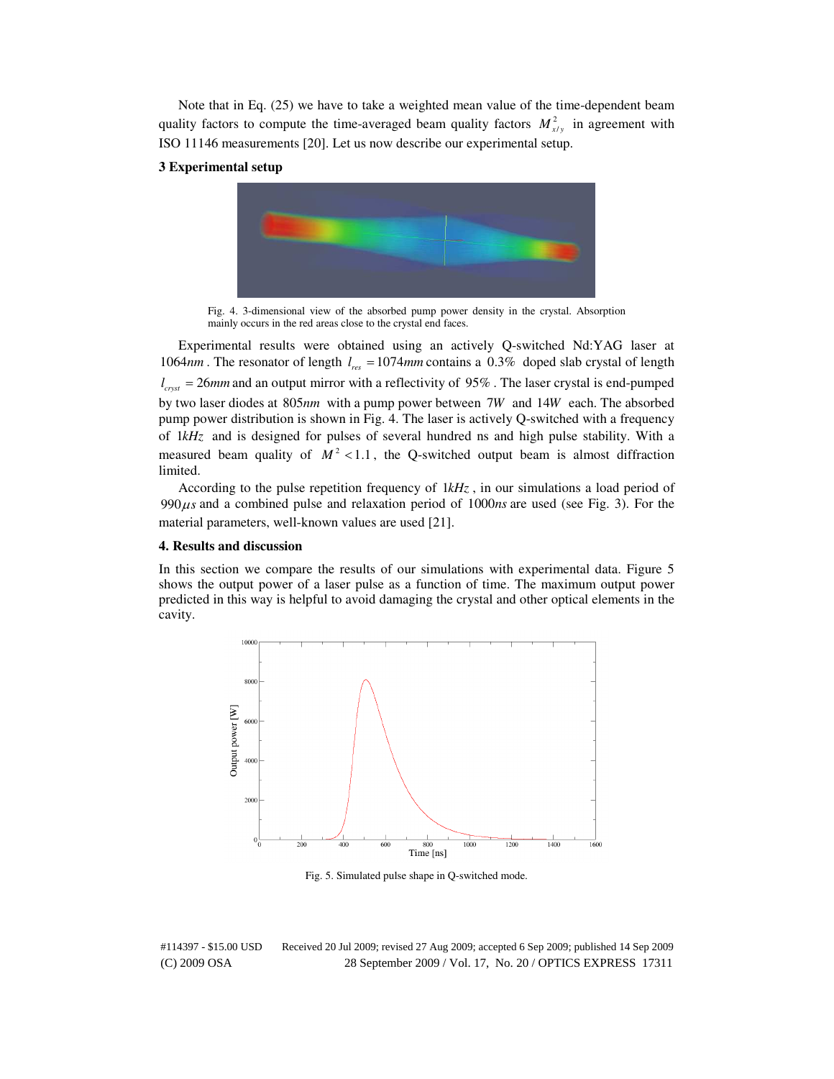Note that in Eq. (25) we have to take a weighted mean value of the time-dependent beam quality factors to compute the time-averaged beam quality factors  $M_{x/y}^2$  in agreement with ISO 11146 measurements [20]. Let us now describe our experimental setup.

## **3 Experimental setup**



Fig. 4. 3-dimensional view of the absorbed pump power density in the crystal. Absorption mainly occurs in the red areas close to the crystal end faces.

Experimental results were obtained using an actively Q-switched Nd:YAG laser at 1064 $nm$ . The resonator of length  $l_{res} = 1074$  *rm* contains a 0.3% doped slab crystal of length  $l_{\text{cryst}}$  = 26mm and an output mirror with a reflectivity of 95%. The laser crystal is end-pumped by two laser diodes at 805*nm* with a pump power between 7*W* and 14*W* each. The absorbed pump power distribution is shown in Fig. 4. The laser is actively Q-switched with a frequency of 1*kHz* and is designed for pulses of several hundred ns and high pulse stability. With a measured beam quality of  $M^2$  < 1.1, the Q-switched output beam is almost diffraction limited.

According to the pulse repetition frequency of 1*kHz* , in our simulations a load period of 990µ*s* and a combined pulse and relaxation period of 1000*ns* are used (see Fig. 3). For the material parameters, well-known values are used [21].

## **4. Results and discussion**

In this section we compare the results of our simulations with experimental data. Figure 5 shows the output power of a laser pulse as a function of time. The maximum output power predicted in this way is helpful to avoid damaging the crystal and other optical elements in the cavity.



Fig. 5. Simulated pulse shape in Q-switched mode.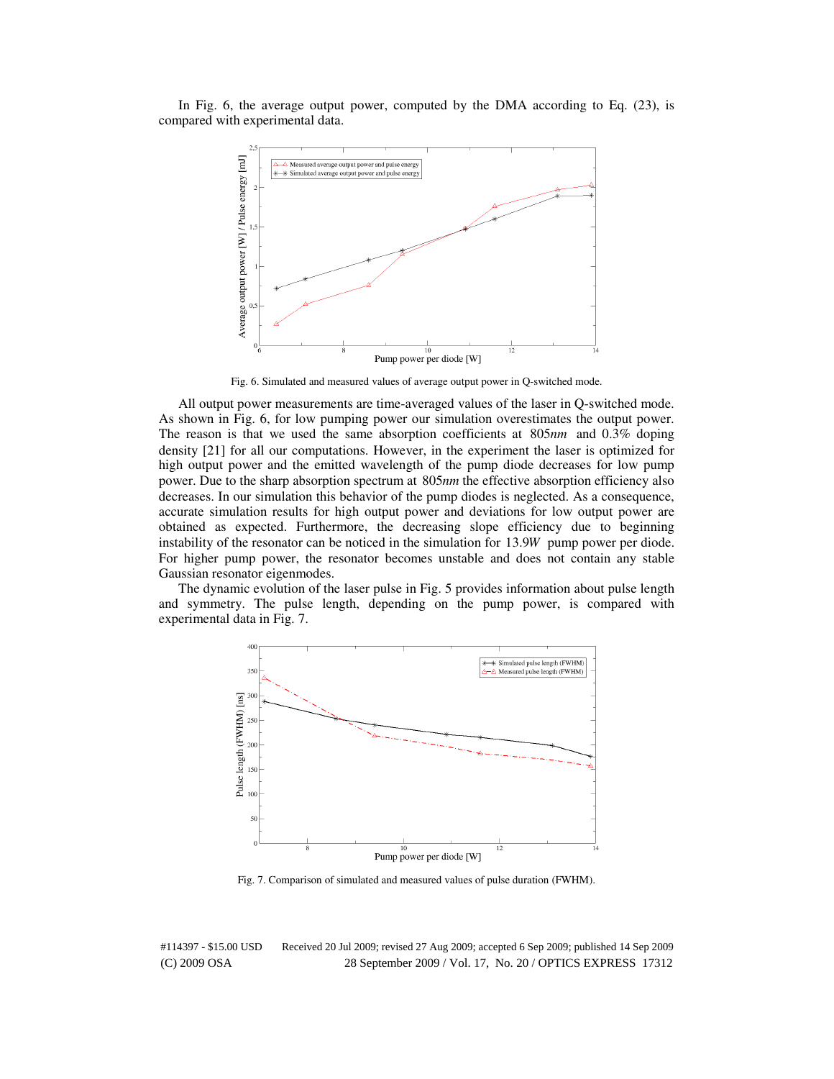In Fig. 6, the average output power, computed by the DMA according to Eq. (23), is compared with experimental data.



Fig. 6. Simulated and measured values of average output power in Q-switched mode.

All output power measurements are time-averaged values of the laser in Q-switched mode. As shown in Fig. 6, for low pumping power our simulation overestimates the output power. The reason is that we used the same absorption coefficients at 805*nm* and 0.3% doping density [21] for all our computations. However, in the experiment the laser is optimized for high output power and the emitted wavelength of the pump diode decreases for low pump power. Due to the sharp absorption spectrum at 805*nm* the effective absorption efficiency also decreases. In our simulation this behavior of the pump diodes is neglected. As a consequence, accurate simulation results for high output power and deviations for low output power are obtained as expected. Furthermore, the decreasing slope efficiency due to beginning instability of the resonator can be noticed in the simulation for 13.9*W* pump power per diode. For higher pump power, the resonator becomes unstable and does not contain any stable Gaussian resonator eigenmodes.

The dynamic evolution of the laser pulse in Fig. 5 provides information about pulse length and symmetry. The pulse length, depending on the pump power, is compared with experimental data in Fig. 7.



Fig. 7. Comparison of simulated and measured values of pulse duration (FWHM).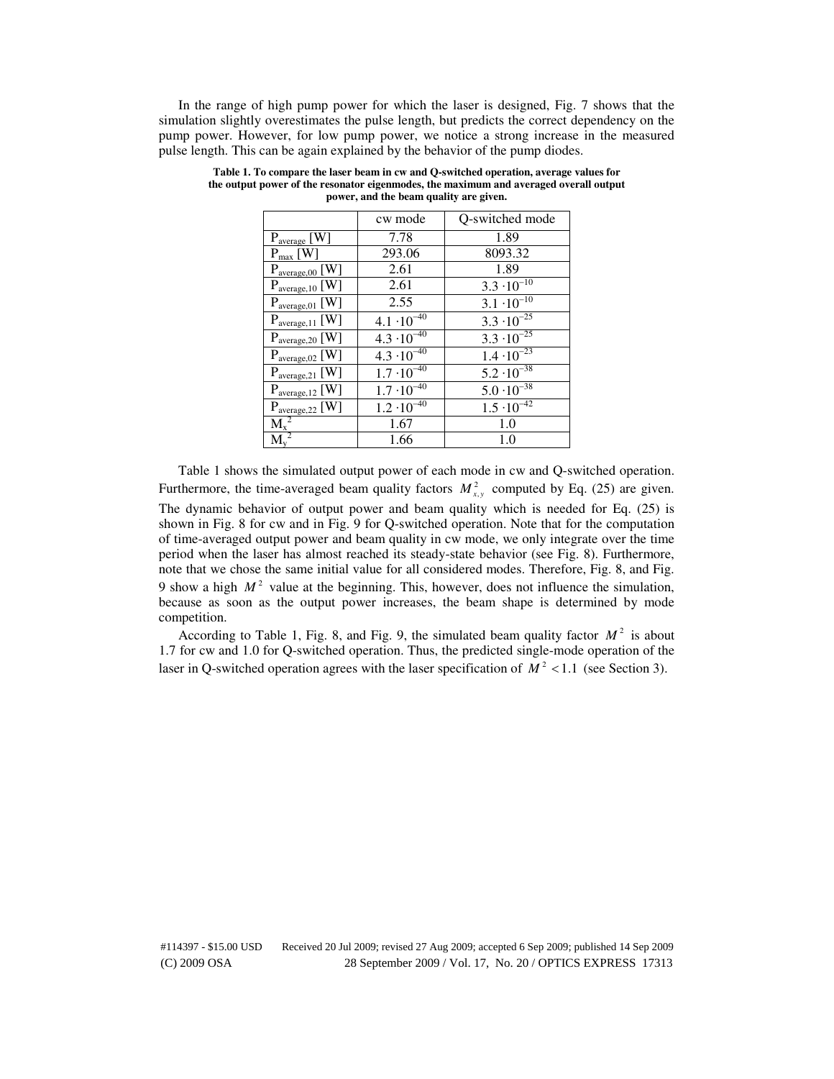In the range of high pump power for which the laser is designed, Fig. 7 shows that the simulation slightly overestimates the pulse length, but predicts the correct dependency on the pump power. However, for low pump power, we notice a strong increase in the measured pulse length. This can be again explained by the behavior of the pump diodes.

|                             | cw mode              | Q-switched mode      |
|-----------------------------|----------------------|----------------------|
| $P_{\text{average}}$ [W]    | 7.78                 | 1.89                 |
| $P_{max}$ [W]               | 293.06               | 8093.32              |
| $P_{\text{average},00}$ [W] | 2.61                 | 1.89                 |
| $P_{\text{average},10}$ [W] | 2.61                 | $3.3 \cdot 10^{-10}$ |
| $P_{\text{average},01}$ [W] | 2.55                 | $3.1 \cdot 10^{-10}$ |
| $P_{average, 11}$ [W]       | $4.1 \cdot 10^{-40}$ | $3.3 \cdot 10^{-25}$ |
| $P_{\text{average},20}$ [W] | $4.3 \cdot 10^{-40}$ | $3.3 \cdot 10^{-25}$ |
| $P_{\text{average},02}$ [W] | $4.3 \cdot 10^{-40}$ | $1.4 \cdot 10^{-23}$ |
| $P_{\text{average},21}$ [W] | $1.7 \cdot 10^{-40}$ | $5.2 \cdot 10^{-38}$ |
| $P_{\text{average},12}$ [W] | $1.7 \cdot 10^{-40}$ | $5.0 \cdot 10^{-38}$ |
| $P_{\text{average},22}$ [W] | $1.2 \cdot 10^{-40}$ | $1.5 \cdot 10^{-42}$ |
| $M_{x}^{2}$                 | 1.67                 | 1.0                  |
|                             | 1.66                 | 1.0                  |

**Table 1. To compare the laser beam in cw and Q-switched operation, average values for the output power of the resonator eigenmodes, the maximum and averaged overall output power, and the beam quality are given.** 

Table 1 shows the simulated output power of each mode in cw and Q-switched operation. Furthermore, the time-averaged beam quality factors  $M_{x,y}^2$  computed by Eq. (25) are given. The dynamic behavior of output power and beam quality which is needed for Eq. (25) is shown in Fig. 8 for cw and in Fig. 9 for Q-switched operation. Note that for the computation of time-averaged output power and beam quality in cw mode, we only integrate over the time period when the laser has almost reached its steady-state behavior (see Fig. 8). Furthermore, note that we chose the same initial value for all considered modes. Therefore, Fig. 8, and Fig. 9 show a high  $M^2$  value at the beginning. This, however, does not influence the simulation, because as soon as the output power increases, the beam shape is determined by mode competition.

According to Table 1, Fig. 8, and Fig. 9, the simulated beam quality factor  $M^2$  is about 1.7 for cw and 1.0 for Q-switched operation. Thus, the predicted single-mode operation of the laser in Q-switched operation agrees with the laser specification of  $M^2$  < 1.1 (see Section 3).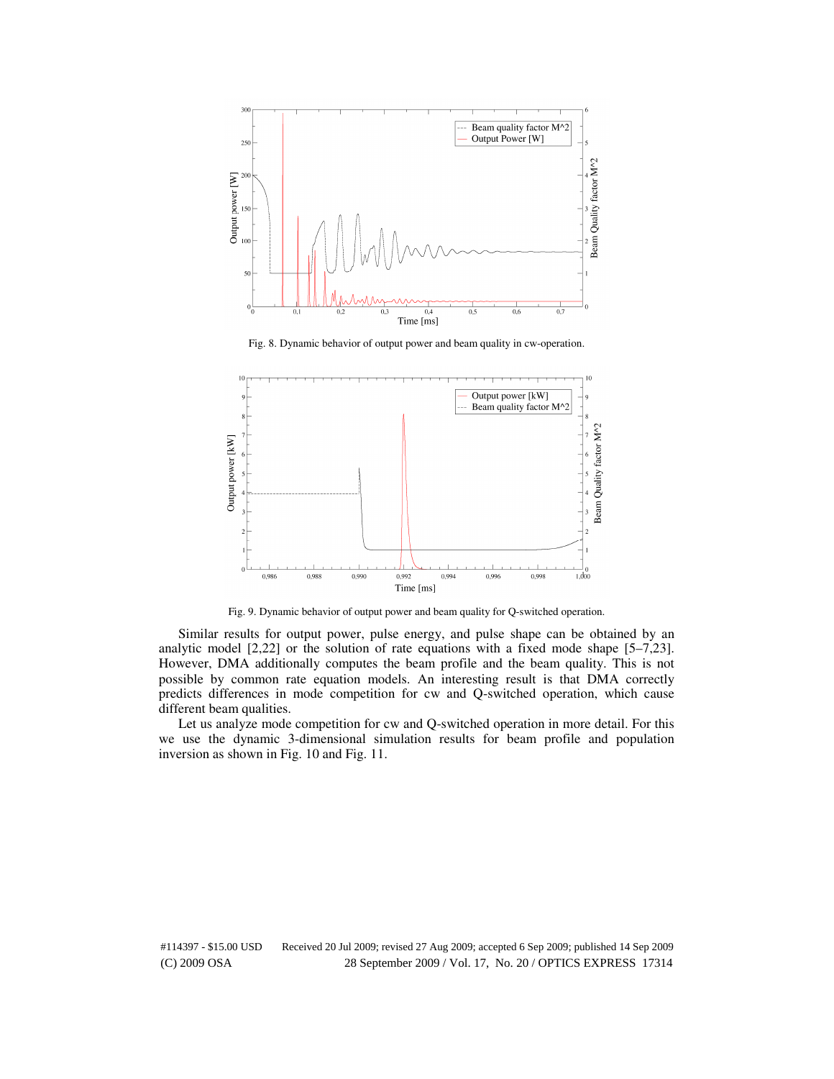

Fig. 8. Dynamic behavior of output power and beam quality in cw-operation.



Fig. 9. Dynamic behavior of output power and beam quality for Q-switched operation.

Similar results for output power, pulse energy, and pulse shape can be obtained by an analytic model  $[2,22]$  or the solution of rate equations with a fixed mode shape  $[5-7,23]$ . However, DMA additionally computes the beam profile and the beam quality. This is not possible by common rate equation models. An interesting result is that DMA correctly predicts differences in mode competition for cw and Q-switched operation, which cause different beam qualities.

Let us analyze mode competition for cw and Q-switched operation in more detail. For this we use the dynamic 3-dimensional simulation results for beam profile and population inversion as shown in Fig. 10 and Fig. 11.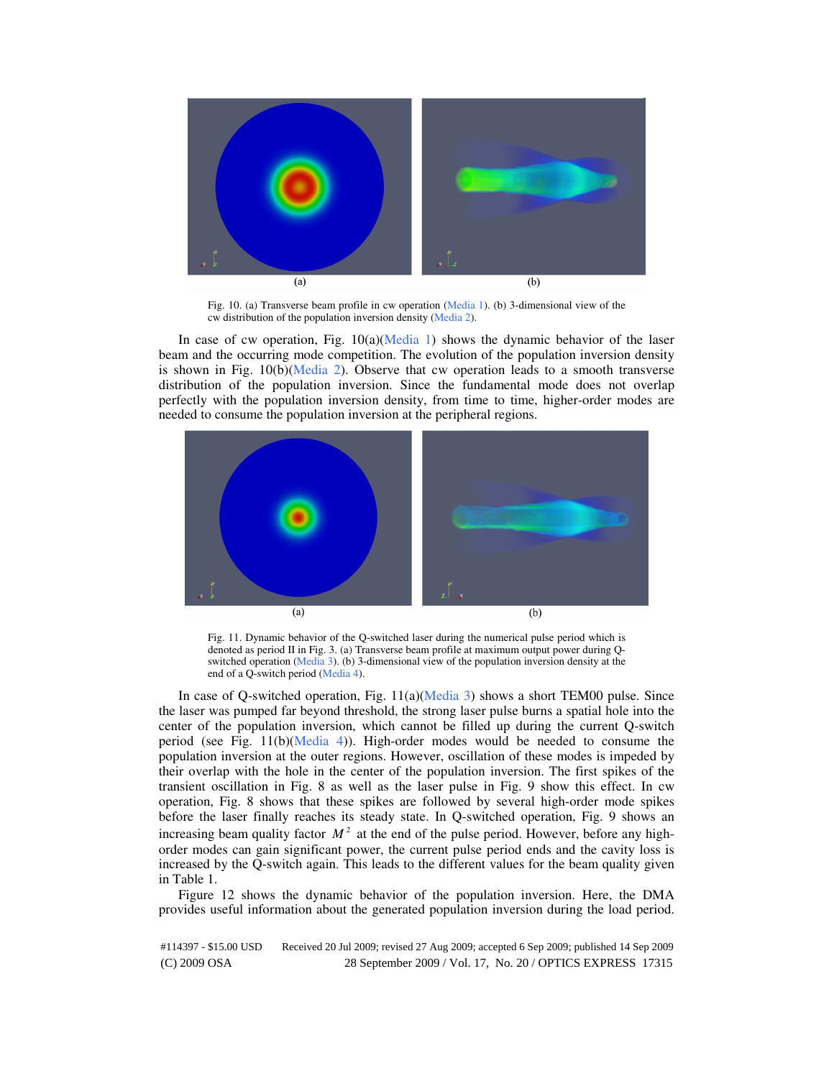

Fig. 10. (a) Transverse beam profile in cw operation [\(Media 1\)](http://www.opticsexpress.org/viewmedia.cfm?URI=oe-17-20-17303-1). (b) 3-dimensional view of the cw distribution of the population inversion density [\(Media 2\).](http://www.opticsexpress.org/viewmedia.cfm?URI=oe-17-20-17303-2)

In case of cw operation, Fig.  $10(a)(\text{Media } 1)$  shows the dynamic behavior of the laser beam and the occurring mode competition. The evolution of the population inversion density is shown in Fig.  $10(b)(Media 2)$ . Observe that cw operation leads to a smooth transverse distribution of the population inversion. Since the fundamental mode does not overlap perfectly with the population inversion density, from time to time, higher-order modes are needed to consume the population inversion at the peripheral regions.



Fig. 11. Dynamic behavior of the Q-switched laser during the numerical pulse period which is denoted as period II in Fig. 3. (a) Transverse beam profile at maximum output power during Qswitched operation [\(Media 3\).](http://www.opticsexpress.org/viewmedia.cfm?URI=oe-17-20-17303-3) (b) 3-dimensional view of the population inversion density at the end of a Q-switch period [\(Media 4\).](http://www.opticsexpress.org/viewmedia.cfm?URI=oe-17-20-17303-4) 

In case of Q-switched operation, Fig. 11(a)[\(Media 3\)](http://www.opticsexpress.org/viewmedia.cfm?URI=oe-17-20-17303-3) shows a short TEM00 pulse. Since the laser was pumped far beyond threshold, the strong laser pulse burns a spatial hole into the center of the population inversion, which cannot be filled up during the current Q-switch period (see Fig.  $11(b)(Media 4)$ ). High-order modes would be needed to consume the population inversion at the outer regions. However, oscillation of these modes is impeded by their overlap with the hole in the center of the population inversion. The first spikes of the transient oscillation in Fig. 8 as well as the laser pulse in Fig. 9 show this effect. In cw operation, Fig. 8 shows that these spikes are followed by several high-order mode spikes before the laser finally reaches its steady state. In Q-switched operation, Fig. 9 shows an increasing beam quality factor  $M^2$  at the end of the pulse period. However, before any highorder modes can gain significant power, the current pulse period ends and the cavity loss is increased by the Q-switch again. This leads to the different values for the beam quality given in Table 1.

Figure 12 shows the dynamic behavior of the population inversion. Here, the DMA provides useful information about the generated population inversion during the load period.